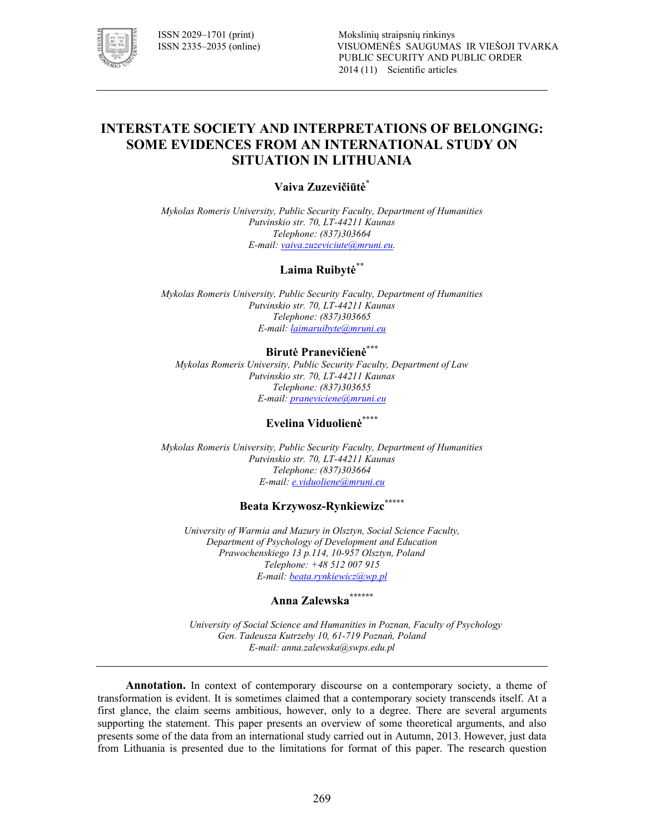

## **INTERSTATE SOCIETY AND INTERPRETATIONS OF BELONGING: SOME EVIDENCES FROM AN INTERNATIONAL STUDY ON SITUATION IN LITHUANIA**

#### **Vaiva Zuzevičiūtė\***

*Mykolas Romeris University, Public Security Faculty, Department of Humanities*  Putvinskio str. 70, LT-44211 Kaunas *Telephone: (837)303664 E!mail: vaiva.zuzeviciute@mruni.eu.* 

#### **Laima Ruibytė\*\***

*Mykolas Romeris University, Public Security Faculty, Department of Humanities*  Putvinskio str. 70, LT-44211 Kaunas *Telephone: (837)303665 E!mail: laimaruibyte@mruni.eu* 

### **Birutė Pranevičienė\*\*\***

*Mykolas Romeris University, Public Security Faculty, Department of Law*  Putvinskio str. 70, LT-44211 Kaunas *Telephone: (837)303655 E!mail: praneviciene@mruni.eu*

## **Evelina Viduolienė\*\*\*\***

*Mykolas Romeris University, Public Security Faculty, Department of Humanities*  Putvinskio str. 70, LT-44211 Kaunas *Telephone: (837)303664 E!mail: e.viduoliene@mruni.eu*

## **Beata Krzywosz=Rynkiewizc\*\*\*\*\***

*University of Warmia and Mazury in Olsztyn, Social Science Faculty, Department of Psychology of Development and Education*  Prawochenskiego 13 p.114, 10-957 Olsztyn, Poland *Telephone: +48 512 007 915 E!mail: beata.rynkiewicz@wp.pl* 

# **Anna Zalewska\*\*\*\*\*\***

*University of Social Science and Humanities in Poznan, Faculty of Psychology*  Gen. Tadeusza Kutrzeby 10, 61-719 Poznań, Poland *E!mail: anna.zalewska@swps.edu.pl* 

**Annotation.** In context of contemporary discourse on a contemporary society, a theme of transformation is evident. It is sometimes claimed that a contemporary society transcends itself. At a first glance, the claim seems ambitious, however, only to a degree. There are several arguments supporting the statement. This paper presents an overview of some theoretical arguments, and also presents some of the data from an international study carried out in Autumn, 2013. However, just data from Lithuania is presented due to the limitations for format of this paper. The research question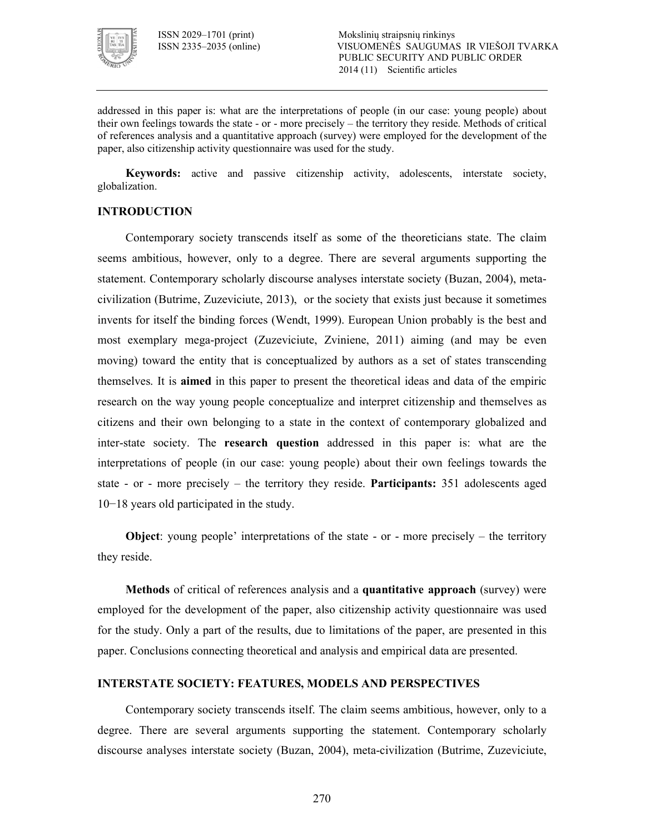

addressed in this paper is: what are the interpretations of people (in our case: young people) about their own feelings towards the state  $\sim$  or  $\sim$  more precisely  $\sim$  the territory they reside. Methods of critical of references analysis and a quantitative approach (survey) were employed for the development of the paper, also citizenship activity questionnaire was used for the study.

**Keywords:** active and passive citizenship activity, adolescents, interstate society, globalization.

#### **INTRODUCTION**

Contemporary society transcends itself as some of the theoreticians state. The claim seems ambitious, however, only to a degree. There are several arguments supporting the statement. Contemporary scholarly discourse analyses interstate society (Buzan, 2004), meta civilization (Butrime, Zuzeviciute, 2013), or the society that exists just because it sometimes invents for itself the binding forces (Wendt, 1999). European Union probably is the best and most exemplary mega-project (Zuzeviciute, Zviniene, 2011) aiming (and may be even moving) toward the entity that is conceptualized by authors as a set of states transcending themselves. It is **aimed** in this paper to present the theoretical ideas and data of the empiric research on the way young people conceptualize and interpret citizenship and themselves as citizens and their own belonging to a state in the context of contemporary globalized and inter-state society. The **research question** addressed in this paper is: what are the interpretations of people (in our case: young people) about their own feelings towards the state - or - more precisely  $-$  the territory they reside. **Participants:**  $351$  adolescents aged 10−18 years old participated in the study.

**Object**: young people' interpretations of the state  $\cdot$  or  $\cdot$  more precisely  $\cdot$  the territory they reside.

**Methods** of critical of references analysis and a **quantitative approach** (survey) were employed for the development of the paper, also citizenship activity questionnaire was used for the study. Only a part of the results, due to limitations of the paper, are presented in this paper. Conclusions connecting theoretical and analysis and empirical data are presented.

#### **INTERSTATE SOCIETY: FEATURES, MODELS AND PERSPECTIVES**

Contemporary society transcends itself. The claim seems ambitious, however, only to a degree. There are several arguments supporting the statement. Contemporary scholarly discourse analyses interstate society (Buzan, 2004), meta-civilization (Butrime, Zuzeviciute,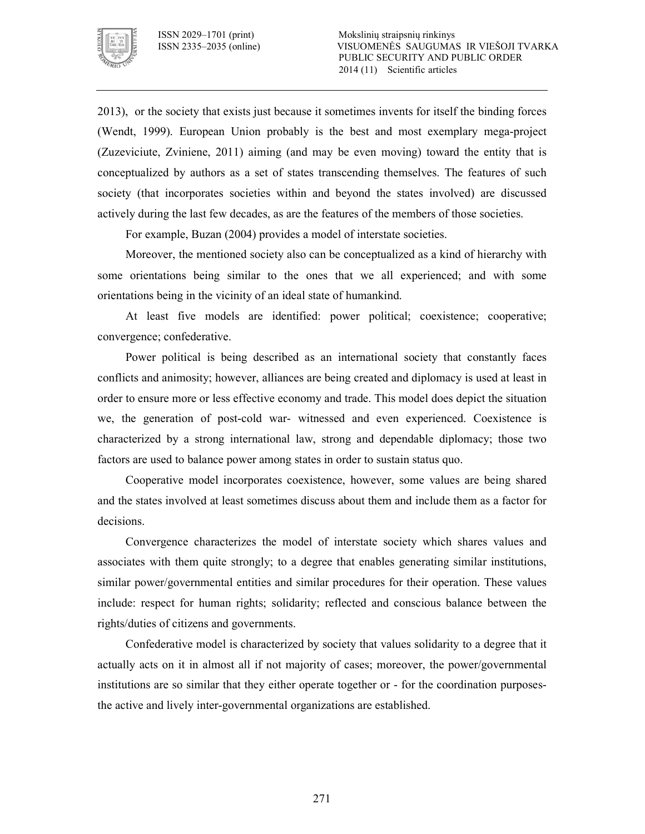

2013), or the society that exists just because it sometimes invents for itself the binding forces (Wendt, 1999). European Union probably is the best and most exemplary mega-project (Zuzeviciute, Zviniene, 2011) aiming (and may be even moving) toward the entity that is conceptualized by authors as a set of states transcending themselves. The features of such society (that incorporates societies within and beyond the states involved) are discussed actively during the last few decades, as are the features of the members of those societies.

For example, Buzan (2004) provides a model of interstate societies.

Moreover, the mentioned society also can be conceptualized as a kind of hierarchy with some orientations being similar to the ones that we all experienced; and with some orientations being in the vicinity of an ideal state of humankind.

At least five models are identified: power political; coexistence; cooperative; convergence; confederative.

Power political is being described as an international society that constantly faces conflicts and animosity; however, alliances are being created and diplomacy is used at least in order to ensure more or less effective economy and trade. This model does depict the situation we, the generation of post-cold war- witnessed and even experienced. Coexistence is characterized by a strong international law, strong and dependable diplomacy; those two factors are used to balance power among states in order to sustain status quo.

Cooperative model incorporates coexistence, however, some values are being shared and the states involved at least sometimes discuss about them and include them as a factor for decisions.

Convergence characterizes the model of interstate society which shares values and associates with them quite strongly; to a degree that enables generating similar institutions, similar power/governmental entities and similar procedures for their operation. These values include: respect for human rights; solidarity; reflected and conscious balance between the rights/duties of citizens and governments.

Confederative model is characterized by society that values solidarity to a degree that it actually acts on it in almost all if not majority of cases; moreover, the power/governmental institutions are so similar that they either operate together or - for the coordination purposesthe active and lively inter-governmental organizations are established.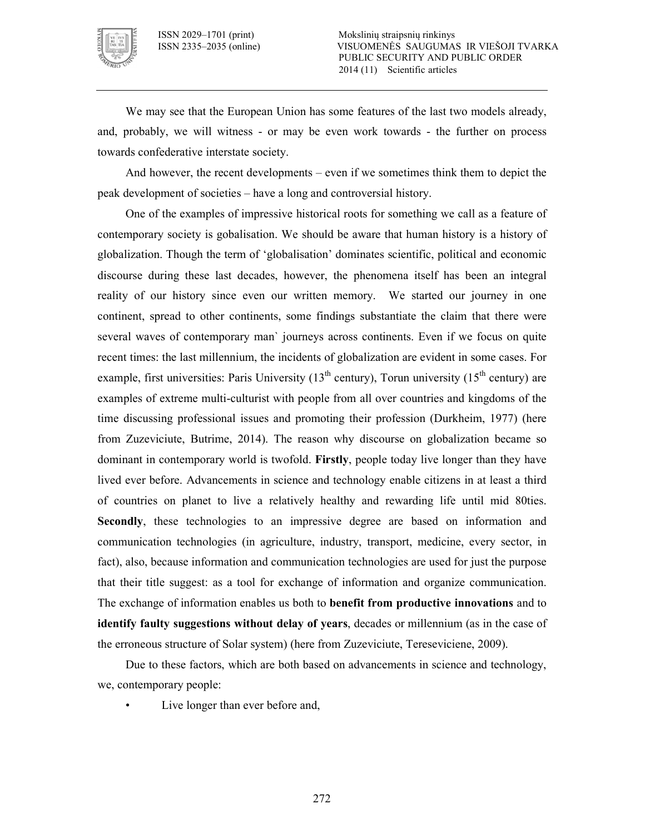

We may see that the European Union has some features of the last two models already, and, probably, we will witness - or may be even work towards - the further on process towards confederative interstate society.

And however, the recent developments – even if we sometimes think them to depict the peak development of societies – have a long and controversial history.

One of the examples of impressive historical roots for something we call as a feature of contemporary society is gobalisation. We should be aware that human history is a history of globalization. Though the term of 'globalisation' dominates scientific, political and economic discourse during these last decades, however, the phenomena itself has been an integral reality of our history since even our written memory. We started our journey in one continent, spread to other continents, some findings substantiate the claim that there were several waves of contemporary man` journeys across continents. Even if we focus on quite recent times: the last millennium, the incidents of globalization are evident in some cases. For example, first universities: Paris University  $(13<sup>th</sup>$  century), Torun university  $(15<sup>th</sup>$  century) are examples of extreme multi-culturist with people from all over countries and kingdoms of the time discussing professional issues and promoting their profession (Durkheim, 1977) (here from Zuzeviciute, Butrime, 2014). The reason why discourse on globalization became so dominant in contemporary world is twofold. **Firstly**, people today live longer than they have lived ever before. Advancements in science and technology enable citizens in at least a third of countries on planet to live a relatively healthy and rewarding life until mid 80ties. **Secondly**, these technologies to an impressive degree are based on information and communication technologies (in agriculture, industry, transport, medicine, every sector, in fact), also, because information and communication technologies are used for just the purpose that their title suggest: as a tool for exchange of information and organize communication. The exchange of information enables us both to **benefit from productive innovations** and to **identify faulty suggestions without delay of years**, decades or millennium (as in the case of the erroneous structure of Solar system) (here from Zuzeviciute, Tereseviciene, 2009).

Due to these factors, which are both based on advancements in science and technology, we, contemporary people:

Live longer than ever before and,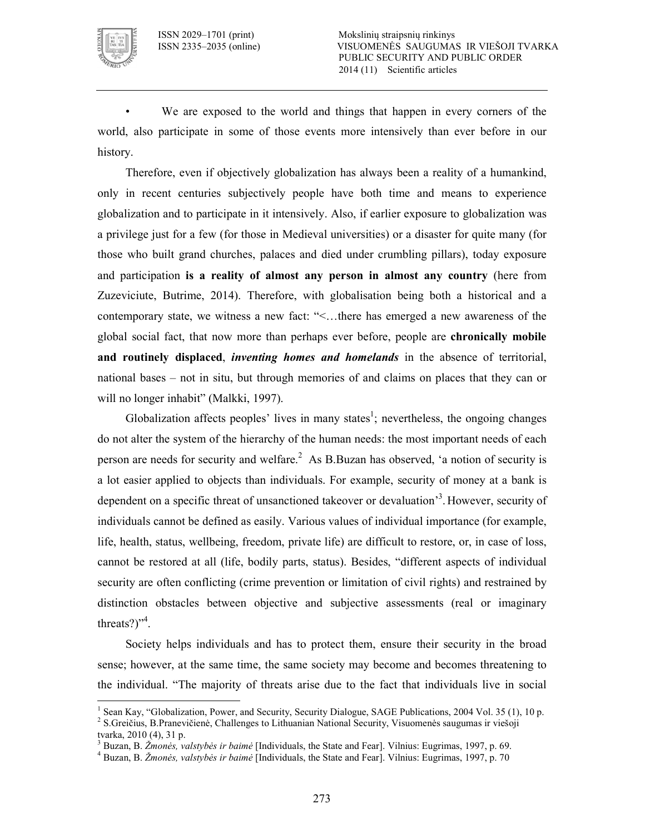

 $\ddot{\phantom{a}}$ 

We are exposed to the world and things that happen in every corners of the world, also participate in some of those events more intensively than ever before in our history.

Therefore, even if objectively globalization has always been a reality of a humankind, only in recent centuries subjectively people have both time and means to experience globalization and to participate in it intensively. Also, if earlier exposure to globalization was a privilege just for a few (for those in Medieval universities) or a disaster for quite many (for those who built grand churches, palaces and died under crumbling pillars), today exposure and participation **is a reality of almost any person in almost any country** (here from Zuzeviciute, Butrime, 2014). Therefore, with globalisation being both a historical and a contemporary state, we witness a new fact: "<…there has emerged a new awareness of the global social fact, that now more than perhaps ever before, people are **chronically mobile**  and routinely displaced, *inventing homes and homelands* in the absence of territorial, national bases – not in situ, but through memories of and claims on places that they can or will no longer inhabit" (Malkki, 1997).

Globalization affects peoples' lives in many states<sup>1</sup>; nevertheless, the ongoing changes do not alter the system of the hierarchy of the human needs: the most important needs of each person are needs for security and welfare.<sup>2</sup> As B.Buzan has observed, 'a notion of security is a lot easier applied to objects than individuals. For example, security of money at a bank is dependent on a specific threat of unsanctioned takeover or devaluation<sup>3</sup>. However, security of individuals cannot be defined as easily. Various values of individual importance (for example, life, health, status, wellbeing, freedom, private life) are difficult to restore, or, in case of loss, cannot be restored at all (life, bodily parts, status). Besides, "different aspects of individual security are often conflicting (crime prevention or limitation of civil rights) and restrained by distinction obstacles between objective and subjective assessments (real or imaginary threats? $)^{4}$ .

Society helps individuals and has to protect them, ensure their security in the broad sense; however, at the same time, the same society may become and becomes threatening to the individual. "The majority of threats arise due to the fact that individuals live in social

<sup>&</sup>lt;sup>1</sup> Sean Kay, "Globalization, Power, and Security, Security Dialogue, SAGE Publications, 2004 Vol. 35 (1), 10 p.

<sup>&</sup>lt;sup>2</sup> S.Greičius, B.Pranevičienė, Challenges to Lithuanian National Security, Visuomenės saugumas ir viešoji tvarka, 2010 (4), 31 p.

<sup>3</sup> Buzan, B. *Žmonės, valstybės ir baimė* [Individuals, the State and Fear]. Vilnius: Eugrimas, 1997, p. 69.

<sup>4</sup> Buzan, B. *Žmonės, valstybės ir baimė* [Individuals, the State and Fear]. Vilnius: Eugrimas, 1997, p. 70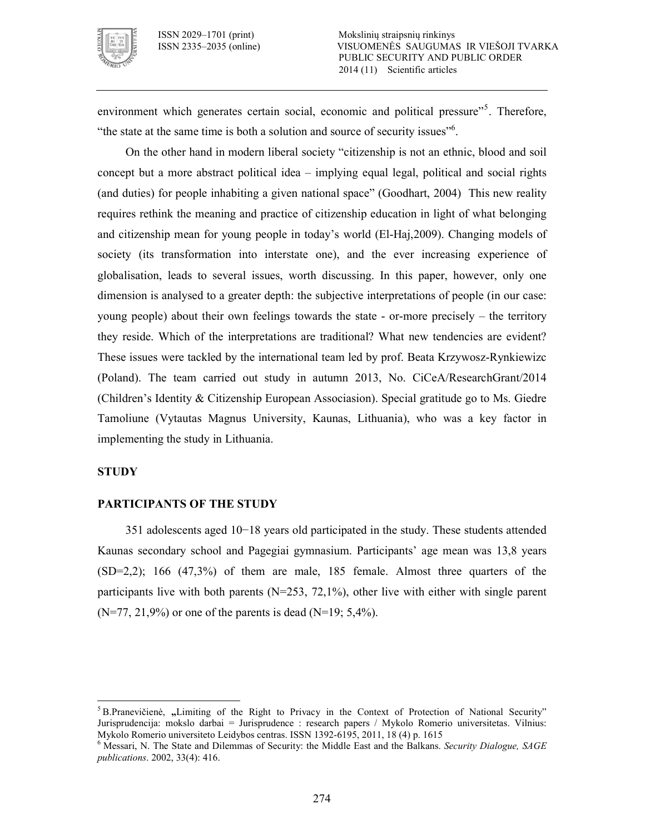

environment which generates certain social, economic and political pressure"<sup>5</sup>. Therefore, "the state at the same time is both a solution and source of security issues"<sup>6</sup>.

On the other hand in modern liberal society "citizenship is not an ethnic, blood and soil concept but a more abstract political idea – implying equal legal, political and social rights (and duties) for people inhabiting a given national space" (Goodhart, 2004) This new reality requires rethink the meaning and practice of citizenship education in light of what belonging and citizenship mean for young people in today's world (ElHaj,2009). Changing models of society (its transformation into interstate one), and the ever increasing experience of globalisation, leads to several issues, worth discussing. In this paper, however, only one dimension is analysed to a greater depth: the subjective interpretations of people (in our case: young people) about their own feelings towards the state  $\overline{\phantom{a}}$  or-more precisely  $\overline{\phantom{a}}$  the territory they reside. Which of the interpretations are traditional? What new tendencies are evident? These issues were tackled by the international team led by prof. Beata Krzywosz-Rynkiewizc (Poland). The team carried out study in autumn 2013, No. CiCeA/ResearchGrant/2014 (Children's Identity & Citizenship European Associasion). Special gratitude go to Ms. Giedre Tamoliune (Vytautas Magnus University, Kaunas, Lithuania), who was a key factor in implementing the study in Lithuania.

#### **STUDY**

 $\ddot{\phantom{a}}$ 

#### **PARTICIPANTS OF THE STUDY**

351 adolescents aged 10−18 years old participated in the study. These students attended Kaunas secondary school and Pagegiai gymnasium. Participants' age mean was 13,8 years  $(SD=2,2)$ ; 166  $(47,3\%)$  of them are male, 185 female. Almost three quarters of the participants live with both parents  $(N=253, 72,1\%)$ , other live with either with single parent  $(N=77, 21,9\%)$  or one of the parents is dead  $(N=19, 5,4\%).$ 

<sup>&</sup>lt;sup>5</sup> B.Pranevičienė, "Limiting of the Right to Privacy in the Context of Protection of National Security" Jurisprudencija: mokslo darbai = Jurisprudence : research papers / Mykolo Romerio universitetas. Vilnius: Mykolo Romerio universiteto Leidybos centras. ISSN 1392-6195, 2011, 18 (4) p. 1615

<sup>6</sup> Messari, N. The State and Dilemmas of Security: the Middle East and the Balkans. *Security Dialogue, SAGE publications*. 2002, 33(4): 416.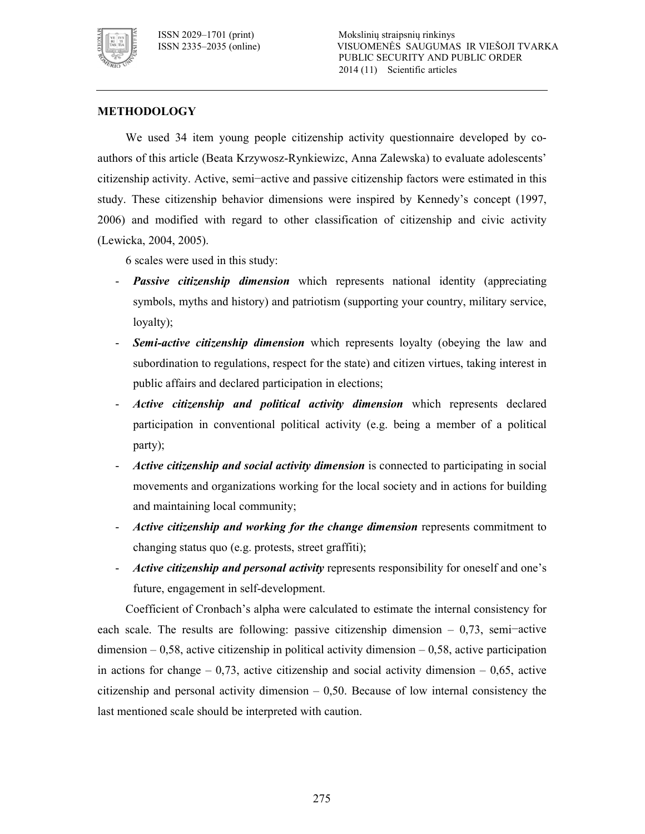

#### **METHODOLOGY**

We used 34 item young people citizenship activity questionnaire developed by co authors of this article (Beata Krzywosz-Rynkiewizc, Anna Zalewska) to evaluate adolescents' citizenship activity. Active, semi−active and passive citizenship factors were estimated in this study. These citizenship behavior dimensions were inspired by Kennedy's concept (1997, 2006) and modified with regard to other classification of citizenship and civic activity (Lewicka, 2004, 2005).

6 scales were used in this study:

- Passive citizenship dimension which represents national identity (appreciating symbols, myths and history) and patriotism (supporting your country, military service, loyalty);
- Semi-active citizenship dimension which represents loyalty (obeying the law and subordination to regulations, respect for the state) and citizen virtues, taking interest in public affairs and declared participation in elections;
- *Active citizenship and political activity dimension* which represents declared participation in conventional political activity (e.g. being a member of a political party);
- Active citizenship and social activity dimension is connected to participating in social movements and organizations working for the local society and in actions for building and maintaining local community;
- Active citizenship and working for the change dimension represents commitment to changing status quo (e.g. protests, street graffiti);
- Active citizenship and personal activity represents responsibility for oneself and one's future, engagement in self-development.

Coefficient of Cronbach's alpha were calculated to estimate the internal consistency for each scale. The results are following: passive citizenship dimension – 0,73, semi−active  $dimension - 0.58$ , active citizenship in political activity dimension  $-0.58$ , active participation in actions for change  $-0.73$ , active citizenship and social activity dimension  $-0.65$ , active citizenship and personal activity dimension  $-0.50$ . Because of low internal consistency the last mentioned scale should be interpreted with caution.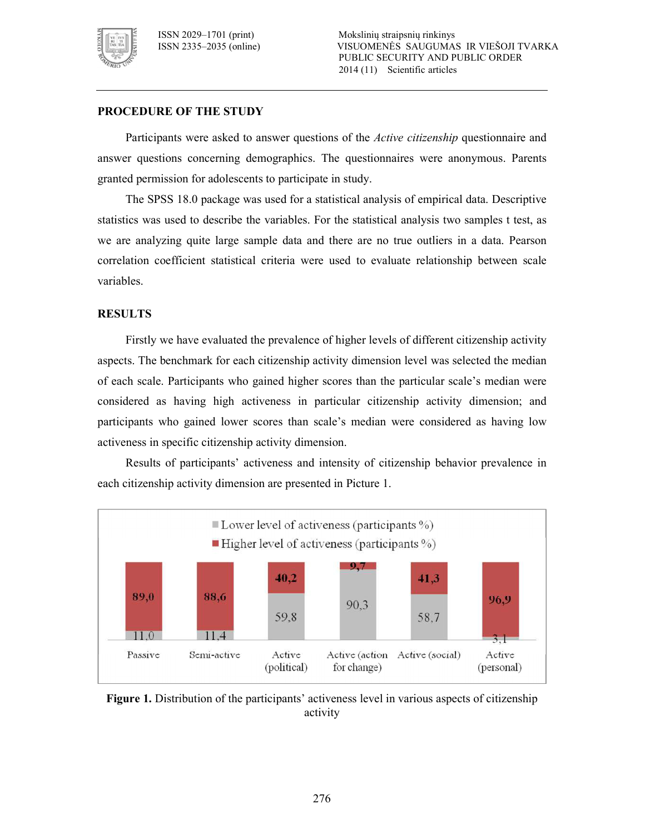

#### **PROCEDURE OF THE STUDY**

Participants were asked to answer questions of the *Active citizenship* questionnaire and answer questions concerning demographics. The questionnaires were anonymous. Parents granted permission for adolescents to participate in study.

The SPSS 18.0 package was used for a statistical analysis of empirical data. Descriptive statistics was used to describe the variables. For the statistical analysis two samples t test, as we are analyzing quite large sample data and there are no true outliers in a data. Pearson correlation coefficient statistical criteria were used to evaluate relationship between scale variables.

#### **RESULTS**

Firstly we have evaluated the prevalence of higher levels of different citizenship activity aspects. The benchmark for each citizenship activity dimension level was selected the median of each scale. Participants who gained higher scores than the particular scale's median were considered as having high activeness in particular citizenship activity dimension; and participants who gained lower scores than scale's median were considered as having low activeness in specific citizenship activity dimension.

Results of participants' activeness and intensity of citizenship behavior prevalence in each citizenship activity dimension are presented in Picture 1.



**Figure 1.** Distribution of the participants' activeness level in various aspects of citizenship activity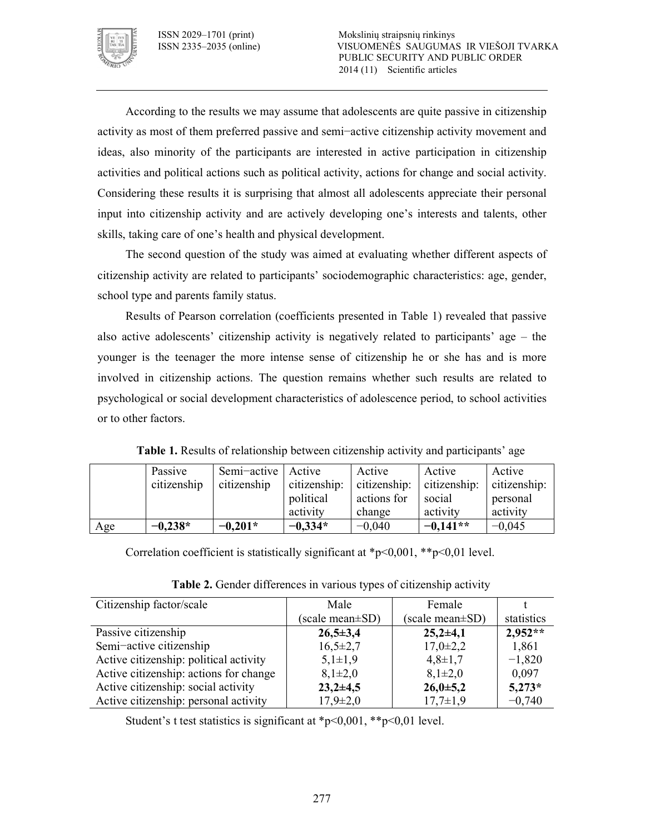

According to the results we may assume that adolescents are quite passive in citizenship activity as most of them preferred passive and semi−active citizenship activity movement and ideas, also minority of the participants are interested in active participation in citizenship activities and political actions such as political activity, actions for change and social activity. Considering these results it is surprising that almost all adolescents appreciate their personal input into citizenship activity and are actively developing one's interests and talents, other skills, taking care of one's health and physical development.

The second question of the study was aimed at evaluating whether different aspects of citizenship activity are related to participants' sociodemographic characteristics: age, gender, school type and parents family status.

Results of Pearson correlation (coefficients presented in Table 1) revealed that passive also active adolescents' citizenship activity is negatively related to participants' age – the younger is the teenager the more intense sense of citizenship he or she has and is more involved in citizenship actions. The question remains whether such results are related to psychological or social development characteristics of adolescence period, to school activities or to other factors.

|     | Passive     | Semi-active   Active |              | Active       | Active       | Active       |
|-----|-------------|----------------------|--------------|--------------|--------------|--------------|
|     | citizenship | citizenship          | citizenship: | citizenship: | citizenship: | citizenship: |
|     |             |                      | political    | actions for  | social       | personal     |
|     |             |                      | activity     | change       | activity     | activity     |
| Age | $-0,238*$   | $-0,201*$            | $-0,334*$    | $-0,040$     | $-0.141**$   | $-0,045$     |

**Table 1.** Results of relationship between citizenship activity and participants' age

Correlation coefficient is statistically significant at  $\frac{p}{0.001}$ ,  $\frac{1 \cdot p}{0.01}$  level.

| Citizenship factor/scale               | Male            | Female                 |            |
|----------------------------------------|-----------------|------------------------|------------|
|                                        | (scale mean±SD) | (scale mean \times SD) | statistics |
| Passive citizenship                    | $26,5 \pm 3,4$  | $25,2{\pm}4,1$         | $2.952**$  |
| Semi-active citizenship                | $16,5\pm2,7$    | $17,0\pm2,2$           | 1,861      |
| Active citizenship: political activity | $5,1\pm1,9$     | $4,8 \pm 1,7$          | $-1,820$   |
| Active citizenship: actions for change | $8,1\pm2,0$     | $8,1\pm2,0$            | 0.097      |
| Active citizenship: social activity    | $23,2+4,5$      | $26,0+5,2$             | $5,273*$   |
| Active citizenship: personal activity  | $17,9 \pm 2,0$  | $17,7\pm1,9$           | $-0,740$   |

**Table 2.** Gender differences in various types of citizenship activity

Student's t test statistics is significant at  $\frac{p}{0.001}$ ,  $\frac{1}{2}$  = 0,01 level.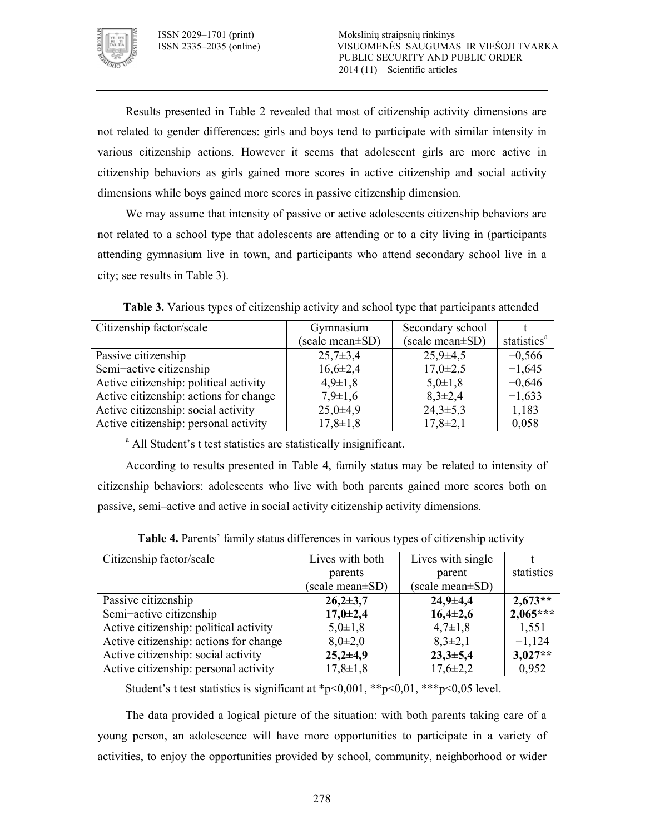

Results presented in Table 2 revealed that most of citizenship activity dimensions are not related to gender differences: girls and boys tend to participate with similar intensity in various citizenship actions. However it seems that adolescent girls are more active in citizenship behaviors as girls gained more scores in active citizenship and social activity dimensions while boys gained more scores in passive citizenship dimension.

We may assume that intensity of passive or active adolescents citizenship behaviors are not related to a school type that adolescents are attending or to a city living in (participants attending gymnasium live in town, and participants who attend secondary school live in a city; see results in Table 3).

| Citizenship factor/scale               | Gymnasium       | Secondary school |                         |
|----------------------------------------|-----------------|------------------|-------------------------|
|                                        | (scale mean±SD) | (scale mean±SD)  | statistics <sup>a</sup> |
| Passive citizenship                    | $25,7\pm3,4$    | $25.9 \pm 4.5$   | $-0,566$                |
| Semi-active citizenship                | $16,6\pm2,4$    | $17,0\pm2,5$     | $-1,645$                |
| Active citizenship: political activity | $4,9 \pm 1,8$   | $5,0\pm1,8$      | $-0,646$                |
| Active citizenship: actions for change | $7,9 \pm 1,6$   | $8,3\pm2,4$      | $-1,633$                |
| Active citizenship: social activity    | $25,0+4,9$      | $24,3\pm5,3$     | 1,183                   |
| Active citizenship: personal activity  | $17,8 \pm 1,8$  | $17,8 \pm 2,1$   | 0,058                   |

**Table 3.** Various types of citizenship activity and school type that participants attended

<sup>a</sup> All Student's t test statistics are statistically insignificant.

According to results presented in Table 4, family status may be related to intensity of citizenship behaviors: adolescents who live with both parents gained more scores both on passive, semi–active and active in social activity citizenship activity dimensions.

| Citizenship factor/scale               | Lives with both | Lives with single |            |
|----------------------------------------|-----------------|-------------------|------------|
|                                        | parents         | parent            | statistics |
|                                        | (scale mean±SD) | (scale mean±SD)   |            |
| Passive citizenship                    | $26,2{\pm}3,7$  | $24,9+4,4$        | $2,673**$  |
| Semi-active citizenship                | $17,0+2,4$      | $16,4{\pm}2,6$    | $2,065***$ |
| Active citizenship: political activity | $5,0\pm1,8$     | $4,7\pm1,8$       | 1,551      |
| Active citizenship: actions for change | $8,0{\pm}2,0$   | $8,3\pm2,1$       | $-1,124$   |
| Active citizenship: social activity    | $25,2{\pm}4,9$  | $23,3+5,4$        | $3,027**$  |
| Active citizenship: personal activity  | $17,8 \pm 1,8$  | $17,6 \pm 2,2$    | 0,952      |

**Table 4.** Parents' family status differences in various types of citizenship activity

Student's t test statistics is significant at  $\frac{p}{0.001}$ ,  $\frac{p}{0.01}$ ,  $\frac{p}{0.01}$ ,  $\frac{p}{0.05}$  level.

The data provided a logical picture of the situation: with both parents taking care of a young person, an adolescence will have more opportunities to participate in a variety of activities, to enjoy the opportunities provided by school, community, neighborhood or wider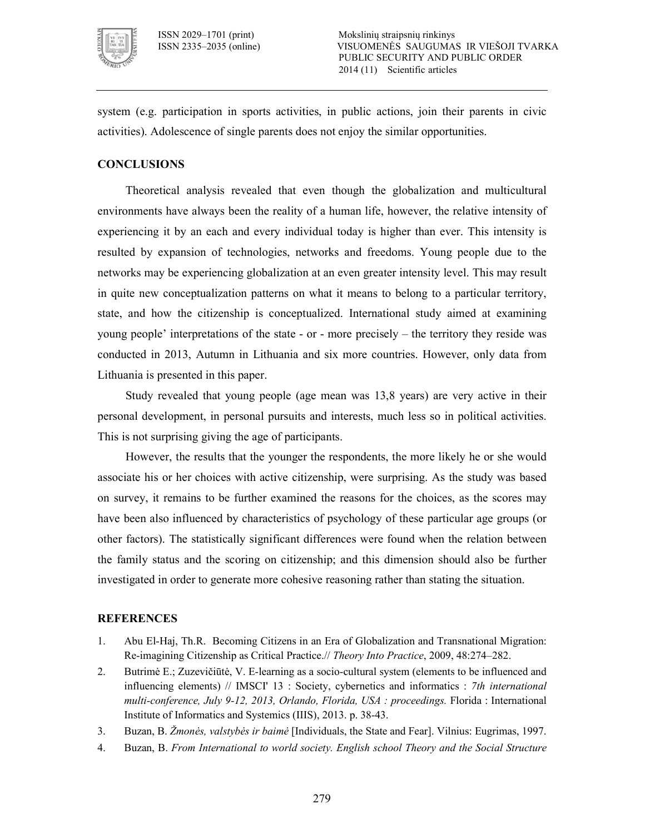

system (e.g. participation in sports activities, in public actions, join their parents in civic activities). Adolescence of single parents does not enjoy the similar opportunities.

#### **CONCLUSIONS**

Theoretical analysis revealed that even though the globalization and multicultural environments have always been the reality of a human life, however, the relative intensity of experiencing it by an each and every individual today is higher than ever. This intensity is resulted by expansion of technologies, networks and freedoms. Young people due to the networks may be experiencing globalization at an even greater intensity level. This may result in quite new conceptualization patterns on what it means to belong to a particular territory, state, and how the citizenship is conceptualized. International study aimed at examining young people' interpretations of the state  $\overline{\ }$  or  $\overline{\ }$  more precisely  $\overline{\ }$  the territory they reside was conducted in 2013, Autumn in Lithuania and six more countries. However, only data from Lithuania is presented in this paper.

Study revealed that young people (age mean was 13,8 years) are very active in their personal development, in personal pursuits and interests, much less so in political activities. This is not surprising giving the age of participants.

However, the results that the younger the respondents, the more likely he or she would associate his or her choices with active citizenship, were surprising. As the study was based on survey, it remains to be further examined the reasons for the choices, as the scores may have been also influenced by characteristics of psychology of these particular age groups (or other factors). The statistically significant differences were found when the relation between the family status and the scoring on citizenship; and this dimension should also be further investigated in order to generate more cohesive reasoning rather than stating the situation.

#### **REFERENCES**

- 1. Abu ElHaj, Th.R. Becoming Citizens in an Era of Globalization and Transnational Migration: Reimagining Citizenship as Critical Practice.// *Theory Into Practice*, 2009, 48:274–282.
- 2. Butrimė E.; Zuzevičiūtė, V. E-learning as a socio-cultural system (elements to be influenced and influencing elements) // IMSCI' 13 : Society, cybernetics and informatics : *7th international multi-conference, July 9-12, 2013, Orlando, Florida, USA : proceedings.* Florida : International Institute of Informatics and Systemics (IIIS), 2013. p. 3843.
- 3. Buzan, B. *Žmonės, valstybės ir baimė* [Individuals, the State and Fear]. Vilnius: Eugrimas, 1997.
- 4. Buzan, B. *From International to world society. English school Theory and the Social Structure*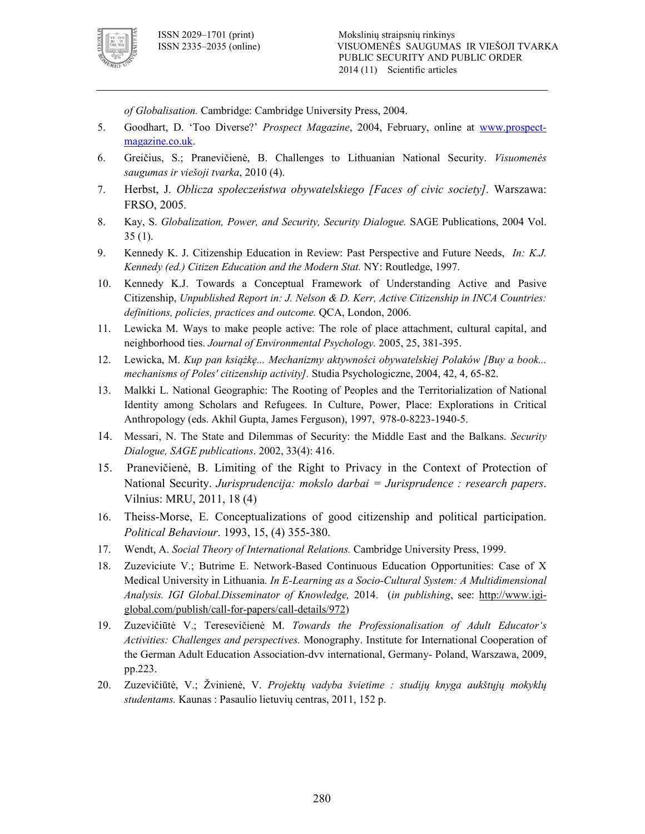

*of Globalisation.* Cambridge: Cambridge University Press, 2004.

- 5. Goodhart, D. 'Too Diverse?' *Prospect Magazine*, 2004, February, online at www.prospect magazine.co.uk.
- 6. Greičius, S.; Pranevičienė, B. Challenges to Lithuanian National Security. *Visuomenės saugumas ir viešoji tvarka*, 2010 (4).
- 7. Herbst, J. *Oblicza społeczeństwa obywatelskiego [Faces of civic society].* Warszawa: FRSO, 2005.
- 8. Kay, S. *Globalization, Power, and Security, Security Dialogue.* SAGE Publications, 2004 Vol. 35 (1).
- 9. Kennedy K. J. Citizenship Education in Review: Past Perspective and Future Needs, *In: K.J. Kennedy (ed.) Citizen Education and the Modern Stat.* NY: Routledge, 1997.
- 10. Kennedy K.J. Towards a Conceptual Framework of Understanding Active and Pasive Citizenship, *Unpublished Report in: J. Nelson & D. Kerr, Active Citizenship in INCA Countries: definitions, policies, practices and outcome.* QCA, London, 2006.
- 11. Lewicka M. Ways to make people active: The role of place attachment, cultural capital, and neighborhood ties. *Journal of Environmental Psychology*. 2005, 25, 381-395.
- 12. Lewicka, M. *Kup pan książkę... Mechanizmy aktywności obywatelskiej Polaków [Buy a book... mechanisms of Poles' citizenship activity].* Studia Psychologiczne, 2004, 42, 4, 65-82.
- 13. Malkki L. National Geographic: The Rooting of Peoples and the Territorialization of National Identity among Scholars and Refugees. In Culture, Power, Place: Explorations in Critical Anthropology (eds. Akhil Gupta, James Ferguson), 1997, 978-0-8223-1940-5.
- 14. Messari, N. The State and Dilemmas of Security: the Middle East and the Balkans. *Security Dialogue, SAGE publications*. 2002, 33(4): 416.
- 15. Pranevičienė, B. Limiting of the Right to Privacy in the Context of Protection of National Security. *Jurisprudencija: mokslo darbai = Jurisprudence : research papers*. Vilnius: MRU, 2011, 18 (4)
- 16. TheissMorse, E. Conceptualizations of good citizenship and political participation. *Political Behaviour*. 1993, 15, (4) 355380.
- 17. Wendt, A. *Social Theory of International Relations.* Cambridge University Press, 1999.
- 18. Zuzeviciute V.; Butrime E. Network-Based Continuous Education Opportunities: Case of X Medical University in Lithuania. *In E-Learning as a Socio-Cultural System: A Multidimensional Analysis. IGI Global.Disseminator of Knowledge,* 2014. (*in publishing*, see: http://www.igi global.com/publish/call-for-papers/call-details/972)
- 19. Zuzevičiūtė V.; Teresevičienė M. *Towards the Professionalisation of Adult Educator's Activities: Challenges and perspectives.* Monography. Institute for International Cooperation of the German Adult Education Association-dvv international, Germany- Poland, Warszawa, 2009, pp.223.
- 20. Zuzevičiūtė, V.; Žvinienė, V. *Projektų vadyba švietime : studijų knyga aukštųjų mokyklų studentams.* Kaunas : Pasaulio lietuvių centras, 2011, 152 p.